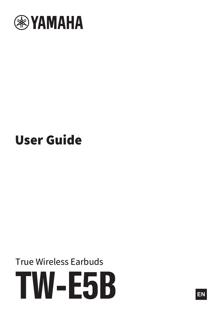

# User Guide

True Wireless Earbuds TW-E5B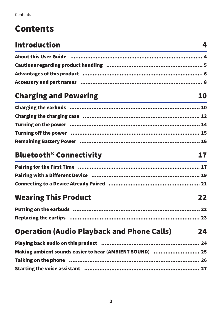## Contents

## [Introduction](#page-3-0) [4](#page-3-0)

## [Charging and Powering](#page-9-0) **[10](#page-9-0)**

| Turning on the power …………………………………………………………………… 14 |  |
|----------------------------------------------------|--|
|                                                    |  |
|                                                    |  |

## [Bluetooth® Connectivity](#page-16-0) [17](#page-16-0)

| Pairing for the First Time ……………………………………………………………… 17    |  |
|-----------------------------------------------------------|--|
| Pairing with a Different Device ………………………………………………………… 19 |  |
|                                                           |  |

## [Wearing This Product](#page-21-0) [22](#page-21-0)

## [Operation \(Audio Playback and Phone Calls\)](#page-23-0) [24](#page-23-0)

| Making ambient sounds easier to hear (AMBIENT SOUND)  25                                                      |  |
|---------------------------------------------------------------------------------------------------------------|--|
| Talking on the phone manuminal continuum continuum and the phone and the phone manuminal states and the phone |  |
|                                                                                                               |  |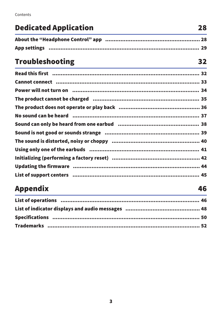Contents

## **Dedicated Application**

28

32

46

## **Troubleshooting**

| Read this first ………………………………………………………………………………… 32                 |  |
|--------------------------------------------------------------------|--|
| Cannot connect manual manual control control control control of 33 |  |
| Power will not turn on ………………………………………………………………… 34                |  |
| The product cannot be charged ………………………………………………………… 35            |  |
|                                                                    |  |
|                                                                    |  |
|                                                                    |  |
|                                                                    |  |
|                                                                    |  |
|                                                                    |  |
|                                                                    |  |
|                                                                    |  |
|                                                                    |  |

## **Appendix**

| List of operations ………………………………………………………………………… 46 |  |
|----------------------------------------------------|--|
|                                                    |  |
|                                                    |  |
|                                                    |  |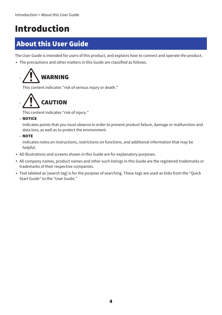## <span id="page-3-0"></span>Introduction

## <span id="page-3-1"></span>About this User Guide

The User Guide is intended for users of this product, and explains how to connect and operate the product.

• The precautions and other matters in this Guide are classified as follows.



This content indicates "risk of serious injury or death."



This content indicates "risk of injury."

 $\cdot$  NOTICE

Indicates points that you must observe in order to prevent product failure, damage or malfunction and data loss, as well as to protect the environment.

( NOTE

Indicates notes on instructions, restrictions on functions, and additional information that may be helpful.

- All illustrations and screens shown in this Guide are for explanatory purposes.
- ( All company names, product names and other such listings in this Guide are the registered trademarks or trademarks of their respective companies.
- Text labeled as [search tag] is for the purpose of searching. These tags are used as links from the "Quick Start Guide" to the "User Guide."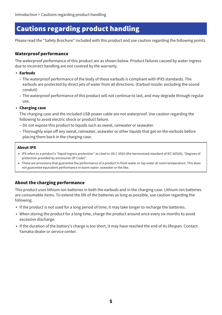## <span id="page-4-0"></span>Cautions regarding product handling

Please read the "Safety Brochure" included with this product and use caution regarding the following points.

#### Waterproof performance

The waterproof performance of this product are as shown below. Product failures caused by water ingress due to incorrect handling are not covered by the warranty.

- ( Earbuds
	- $\cdot$  The waterproof performance of the body of these earbuds is compliant with IPX5 standards. The earbuds are protected by direct jets of water from all directions. (Earbud nozzle: excluding the sound conduit)
	- $\cdot$  The waterproof performance of this product will not continue to last, and may degrade through regular use.

#### ( Charging case

The charging case and the included USB power cable are not waterproof. Use caution regarding the following to avoid electric shock or product failure.

- $\cdot$  Do not expose this product to liquids such as sweat, rainwater or seawater.
- $\cdot$  Thoroughly wipe off any sweat, rainwater, seawater or other liquids that get on the earbuds before placing them back in the charging case.

#### About IPX

- IPX refers to a product's "liquid ingress protection" as cited in JIS C 0920 (the harmonized standard of IEC 60529), "Degrees of protection provided by enclosures (IP Code)".
- These are provisions that guarantee the performance of a product in fresh water or tap water at room temperature. This does not guarantee equivalent performance in warm water, seawater or the like.

#### About the charging performance

This product uses lithium-ion batteries in both the earbuds and in the charging case. Lithium-ion batteries are consumable items. To extend the life of the batteries as long as possible, use caution regarding the following.

- If the product is not used for a long period of time, it may take longer to recharge the batteries.
- When storing the product for a long time, charge the product around once every six months to avoid excessive discharge.
- If the duration of the battery's charge is too short, it may have reached the end of its lifespan. Contact Yamaha dealer or service center.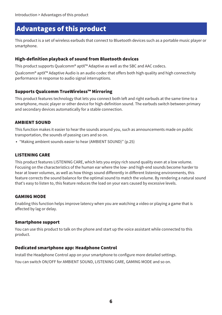### <span id="page-5-0"></span>Advantages of this product

This product is a set of wireless earbuds that connect to Bluetooth devices such as a portable music player or smartphone.

#### High-definition playback of sound from Bluetooth devices

This product supports Qualcomm® aptX™ Adaptive as well as the SBC and AAC codecs.

Qualcomm® aptX™ Adaptive Audio is an audio codec that offers both high quality and high connectivity performance in response to audio signal interruptions.

#### Supports Qualcomm TrueWireless™ Mirroring

This product features technology that lets you connect both left and right earbuds at the same time to a smartphone, music player or other device for high-definition sound. The earbuds switch between primary and secondary devices automatically for a stable connection.

#### AMBIENT SOUND

This function makes it easier to hear the sounds around you, such as announcements made on public transportation, the sounds of passing cars and so on.

( ["Making ambient sounds easier to hear \(AMBIENT SOUND\)" \(p.25\)](#page-24-0)

#### LISTENING CARE

This product features LISTENING CARE, which lets you enjoy rich sound quality even at a low volume. Focusing on the characteristics of the human ear where the low- and high-end sounds become harder to hear at lower volumes, as well as how things sound differently in different listening environments, this feature corrects the sound balance for the optimal sound to match the volume. By rendering a natural sound that's easy to listen to, this feature reduces the load on your ears caused by excessive levels.

#### GAMING MODE

Enabling this function helps improve latency when you are watching a video or playing a game that is affected by lag or delay.

#### Smartphone support

You can use this product to talk on the phone and start up the voice assistant while connected to this product.

#### Dedicated smartphone app: Headphone Control

Install the Headphone Control app on your smartphone to configure more detailed settings. You can switch ON/OFF for AMBIENT SOUND, LISTENING CARE, GAMING MODE and so on.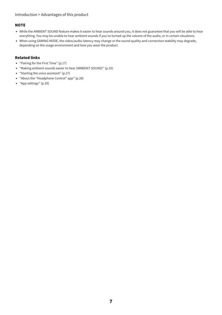#### **NOTE**

- While the AMBIENT SOUND feature makes it easier to hear sounds around you, it does not guarantee that you will be able to hear everything. You may be unable to hear ambient sounds if you've turned up the volume of the audio, or in certain situations.
- When using GAMING MODE, the video/audio latency may change or the sound quality and connection stability may degrade, depending on the usage environment and how you wear the product.

#### Related links

- ( ["Pairing for the First Time" \(p.17\)](#page-16-1)
- ["Making ambient sounds easier to hear \(AMBIENT SOUND\)" \(p.25\)](#page-24-0)
- ( ["Starting the voice assistant" \(p.27\)](#page-26-0)
- ( ["About the "Headphone Control" app" \(p.28\)](#page-27-1)
- ["App settings" \(p.29\)](#page-28-0)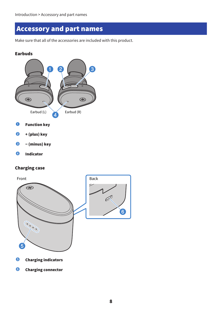### <span id="page-7-0"></span>Accessory and part names

Make sure that all of the accessories are included with this product.

#### Earbuds



- **O** Function key
- $\Theta$  + (plus) key
- <sup>6</sup> − (minus) key
- **4** Indicator

#### Charging case



**6** Charging connector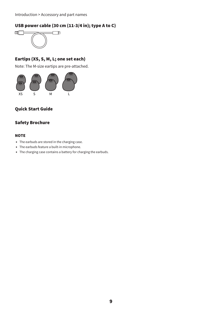#### USB power cable (30 cm (11-3/4 in); type A to C)



#### Eartips (XS, S, M, L; one set each)

Note: The M-size eartips are pre-attached.



#### Quick Start Guide

#### Safety Brochure

#### **NOTE**

- The earbuds are stored in the charging case.
- The earbuds feature a built-in microphone.
- The charging case contains a battery for charging the earbuds.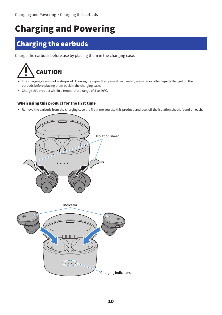## <span id="page-9-0"></span>Charging and Powering

## <span id="page-9-1"></span>Charging the earbuds

Charge the earbuds before use by placing them in the charging case.



- The charging case is not waterproof. Thoroughly wipe off any sweat, rainwater, seawater or other liquids that get on the earbuds before placing them back in the charging case.
- Charge this product within a temperature range of 5 to 40 $\degree$ C.

#### When using this product for the first time

• Remove the earbuds from the charging case the first time you use this product, and peel off the isolation sheets found on each.



Indicator

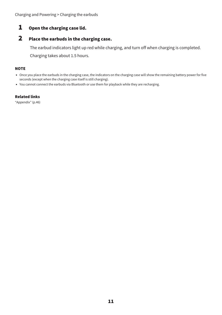Charging and Powering > Charging the earbuds

#### 1 Open the charging case lid.

#### 2 Place the earbuds in the charging case.

The earbud indicators light up red while charging, and turn off when charging is completed.

Charging takes about 1.5 hours.

#### **NOTE**

- Once you place the earbuds in the charging case, the indicators on the charging case will show the remaining battery power for five seconds (except when the charging case itself is still charging).
- You cannot connect the earbuds via Bluetooth or use them for playback while they are recharging.

#### Related links

["Appendix" \(p.46\)](#page-45-0)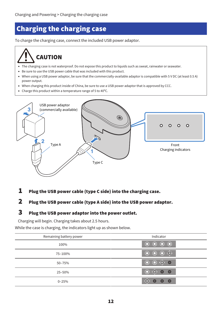## <span id="page-11-0"></span>Charging the charging case

To charge the charging case, connect the included USB power adaptor.

## CAUTION

- The charging case is not waterproof. Do not expose this product to liquids such as sweat, rainwater or seawater.
- Be sure to use the USB power cable that was included with this product.
- When using a USB power adaptor, be sure that the commercially-available adaptor is compatible with 5 V DC (at least 0.5 A) power output.
- ( When charging this product inside of China, be sure to use a USB power adaptor that is approved by CCC.
- Charge this product within a temperature range of 5 to 40 $^{\circ}$ C.



#### $\boldsymbol{1}$  Plug the USB power cable (type C side) into the charging case.

### 2 Plug the USB power cable (type A side) into the USB power adaptor.

#### 3 Plug the USB power adaptor into the power outlet.

Charging will begin. Charging takes about 2.5 hours.

While the case is charging, the indicators light up as shown below.

| Remaining battery power | Indicator                                                      |
|-------------------------|----------------------------------------------------------------|
| 100%                    | $\begin{array}{ccc} 0 & 0 & 0 & 0 \end{array}$                 |
| 75-100%                 |                                                                |
| 50-75%                  | $\begin{array}{ccc} \circ & \circ & \circ & \circ \end{array}$ |
| 25-50%                  | 0 <sup>o</sup>                                                 |
| $0 - 25%$               | $\circ$<br>∩                                                   |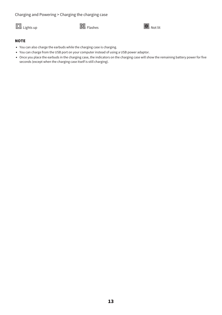Charging and Powering > Charging the charging case





#### **NOTE**

- You can also charge the earbuds while the charging case is charging.
- ( You can charge from the USB port on your computer instead of using a USB power adaptor.
- Once you place the earbuds in the charging case, the indicators on the charging case will show the remaining battery power for five seconds (except when the charging case itself is still charging).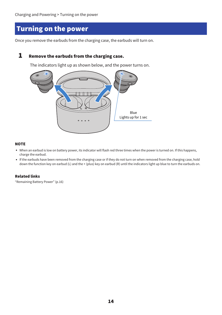## <span id="page-13-0"></span>Turning on the power

Once you remove the earbuds from the charging case, the earbuds will turn on.

#### 1 Remove the earbuds from the charging case.

The indicators light up as shown below, and the power turns on.



#### **NOTE**

- When an earbud is low on battery power, its indicator will flash red three times when the power is turned on. If this happens, charge the earbud.
- ( If the earbuds have been removed from the charging case or if they do not turn on when removed from the charging case, hold down the function key on earbud (L) and the + (plus) key on earbud (R) until the indicators light up blue to turn the earbuds on.

#### Related links

["Remaining Battery Power" \(p.16\)](#page-15-0)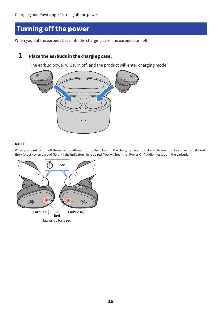## <span id="page-14-0"></span>Turning off the power

When you put the earbuds back into the charging case, the earbuds turn off.

#### **1** Place the earbuds in the charging case.

The earbud power will turn off, and the product will enter charging mode.



#### **NOTE**

When you want to turn off the earbuds without putting them back in the charging case, hold down the function key on earbud (L) and the + (plus) key on earbud (R) until the indicators light up red. You will hear the "Power Off" audio message in the earbuds.

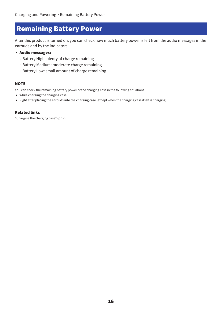## <span id="page-15-0"></span>Remaining Battery Power

After this product is turned on, you can check how much battery power is left from the audio messages in the earbuds and by the indicators.

#### • Audio messages:

- Battery High: plenty of charge remaining
- Battery Medium: moderate charge remaining
- Battery Low: small amount of charge remaining

#### **NOTE**

You can check the remaining battery power of the charging case in the following situations.

- While charging the charging case
- Right after placing the earbuds into the charging case (except when the charging case itself is charging)

#### Related links

["Charging the charging case" \(p.12\)](#page-11-0)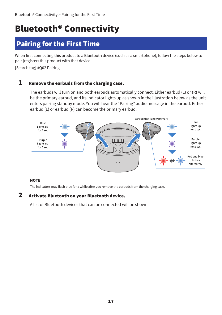## <span id="page-16-0"></span>Bluetooth® Connectivity

## <span id="page-16-1"></span>Pairing for the First Time

When first connecting this product to a Bluetooth device (such as a smartphone), follow the steps below to pair (register) this product with that device.

[Search tag] #Q02 Pairing

#### **1** Remove the earbuds from the charging case.

The earbuds will turn on and both earbuds automatically connect. Either earbud (L) or (R) will be the primary earbud, and its indicator lights up as shown in the illustration below as the unit enters pairing standby mode. You will hear the "Pairing" audio message in the earbud. Either earbud (L) or earbud (R) can become the primary earbud.



#### **NOTE**

The indicators may flash blue for a while after you remove the earbuds from the charging case.

#### 2 Activate Bluetooth on your Bluetooth device.

A list of Bluetooth devices that can be connected will be shown.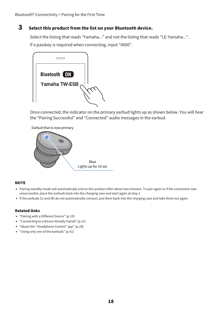#### 3 Select this product from the list on your Bluetooth device.

Select the listing that reads "Yamaha..." and not the listing that reads "LE-Yamaha...". If a passkey is required when connecting, input "0000".



Once connected, the indicator on the primary earbud lights up as shown below. You will hear the "Pairing Successful" and "Connected" audio messages in the earbud.



#### **NOTE**

- Pairing standby mode will automatically end on this product after about two minutes. To pair again or if the connection was unsuccessful, place the earbuds back into the charging case and start again at step 1.
- $\bullet$  If the earbuds (L) and (R) do not automatically connect, put them back into the charging case and take them out again.

#### Related links

- ["Pairing with a Different Device" \(p.19\)](#page-18-0)
- ["Connecting to a Device Already Paired" \(p.21\)](#page-20-0)
- ( ["About the "Headphone Control" app" \(p.28\)](#page-27-1)
- ["Using only one of the earbuds" \(p.41\)](#page-40-0)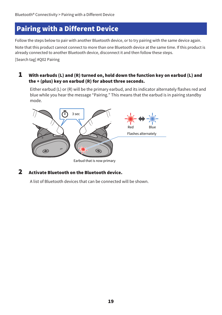## <span id="page-18-0"></span>Pairing with a Different Device

Follow the steps below to pair with another Bluetooth device, or to try pairing with the same device again.

Note that this product cannot connect to more than one Bluetooth device at the same time. If this product is already connected to another Bluetooth device, disconnect it and then follow these steps.

[Search tag] #Q02 Pairing

#### $\boldsymbol{1}$  With earbuds (L) and (R) turned on, hold down the function key on earbud (L) and the + (plus) key on earbud (R) for about three seconds.

Either earbud (L) or (R) will be the primary earbud, and its indicator alternately flashes red and blue while you hear the message "Pairing." This means that the earbud is in pairing standby mode.



#### 2 Activate Bluetooth on the Bluetooth device.

A list of Bluetooth devices that can be connected will be shown.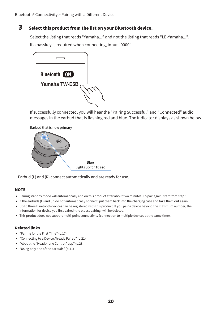#### 3 Select this product from the list on your Bluetooth device.

Select the listing that reads "Yamaha..." and not the listing that reads "LE-Yamaha...". If a passkey is required when connecting, input "0000".



If successfully connected, you will hear the "Pairing Successful" and "Connected" audio messages in the earbud that is flashing red and blue. The indicator displays as shown below.



Earbud (L) and (R) connect automatically and are ready for use.

#### **NOTE**

- Pairing standby mode will automatically end on this product after about two minutes. To pair again, start from step 1.
- If the earbuds (L) and (R) do not automatically connect, put them back into the charging case and take them out again.
- Up to three Bluetooth devices can be registered with this product. If you pair a device beyond the maximum number, the information for device you first paired (the oldest pairing) will be deleted.
- This product does not support multi-point connectivity (connection to multiple devices at the same time).

#### Related links

- ( ["Pairing for the First Time" \(p.17\)](#page-16-1)
- ( ["Connecting to a Device Already Paired" \(p.21\)](#page-20-0)
- ( ["About the "Headphone Control" app" \(p.28\)](#page-27-1)
- $\bullet$  ["Using only one of the earbuds" \(p.41\)](#page-40-0)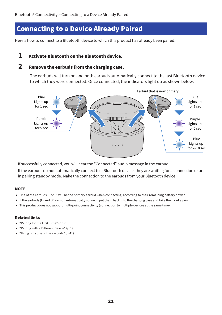### <span id="page-20-0"></span>Connecting to a Device Already Paired

Here's how to connect to a Bluetooth device to which this product has already been paired.

#### 1 Activate Bluetooth on the Bluetooth device.

#### 2 Remove the earbuds from the charging case.

The earbuds will turn on and both earbuds automatically connect to the last Bluetooth device to which they were connected. Once connected, the indicators light up as shown below.



If successfully connected, you will hear the "Connected" audio message in the earbud.

If the earbuds do not automatically connect to a Bluetooth device, they are waiting for a connection or are in pairing standby mode. Make the connection to the earbuds from your Bluetooth device.

#### **NOTE**

- One of the earbuds (L or R) will be the primary earbud when connecting, according to their remaining battery power.
- If the earbuds (L) and (R) do not automatically connect, put them back into the charging case and take them out again.
- This product does not support multi-point connectivity (connection to multiple devices at the same time).

#### Related links

- ( ["Pairing for the First Time" \(p.17\)](#page-16-1)
- ( ["Pairing with a Different Device" \(p.19\)](#page-18-0)
- $\bullet$  ["Using only one of the earbuds" \(p.41\)](#page-40-0)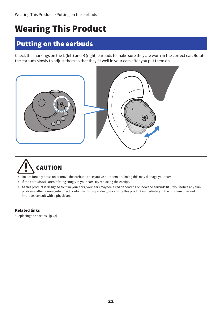## <span id="page-21-0"></span>Wearing This Product

## <span id="page-21-1"></span>Putting on the earbuds

Check the markings on the L (left) and R (right) earbuds to make sure they are worn in the correct ear. Rotate the earbuds slowly to adjust them so that they fit well in your ears after you put them on.





- Do not forcibly press on or move the earbuds once you've put them on. Doing this may damage your ears.
- If the earbuds still aren't fitting snugly in your ears, try replacing the eartips.
- As this product is designed to fit in your ears, your ears may feel tired depending on how the earbuds fit. If you notice any skin problems after coming into direct contact with this product, stop using this product immediately. If the problem does not improve, consult with a physician.

#### Related links

["Replacing the eartips" \(p.23\)](#page-22-0)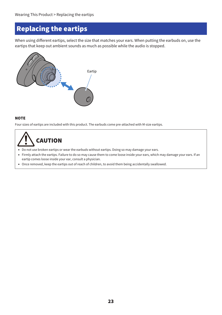## <span id="page-22-0"></span>Replacing the eartips

When using different eartips, select the size that matches your ears. When putting the earbuds on, use the eartips that keep out ambient sounds as much as possible while the audio is stopped.



#### **NOTE**

Four sizes of eartips are included with this product. The earbuds come pre-attached with M-size eartips.

## CAUTION

- Do not use broken eartips or wear the earbuds without eartips. Doing so may damage your ears.
- Firmly attach the eartips. Failure to do so may cause them to come loose inside your ears, which may damage your ears. If an eartip comes loose inside your ear, consult a physician.
- Once removed, keep the eartips out of reach of children, to avoid them being accidentally swallowed.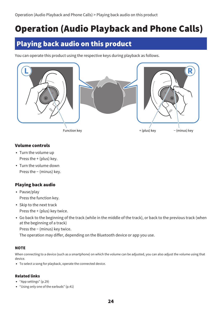## <span id="page-23-0"></span>Operation (Audio Playback and Phone Calls)

## <span id="page-23-1"></span>Playing back audio on this product

You can operate this product using the respective keys during playback as follows.



#### Volume controls

- Turn the volume up Press the + (plus) key.
- Turn the volume down Press the − (minus) key.

#### Playing back audio

- Pause/play Press the function key.
- Skip to the next track Press the + (plus) key twice.
- ( Go back to the beginning of the track (while in the middle of the track), or back to the previous track (when at the beginning of a track)

Press the − (minus) key twice.

The operation may differ, depending on the Bluetooth device or app you use.

#### **NOTE**

When connecting to a device (such as a smartphone) on which the volume can be adjusted, you can also adjust the volume using that device.

• To select a song for playback, operate the connected device.

#### Related links

- ["App settings" \(p.29\)](#page-28-0)
- ["Using only one of the earbuds" \(p.41\)](#page-40-0)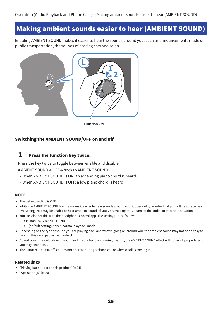### <span id="page-24-0"></span>Making ambient sounds easier to hear (AMBIENT SOUND)

Enabling AMBIENT SOUND makes it easier to hear the sounds around you, such as announcements made on public transportation, the sounds of passing cars and so on.



#### Switching the AMBIENT SOUND/OFF on and off

#### $\boldsymbol{1}$  Press the function key twice.

Press the key twice to toggle between enable and disable.

AMBIENT SOUND → OFF → back to AMBIENT SOUND

- $\cdot$  When AMBIENT SOUND is ON: an ascending piano chord is heard.
- $\cdot$  When AMBIENT SOUND is OFF: a low piano chord is heard.

#### **NOTE**

- The default setting is OFF.
- While the AMBIENT SOUND feature makes it easier to hear sounds around you, it does not guarantee that you will be able to hear everything. You may be unable to hear ambient sounds if you've turned up the volume of the audio, or in certain situations.
- You can also set this with the Headphone Control app. The settings are as follows.
	- ON: enables AMBIENT SOUND.
	- OFF (default setting): this is normal playback mode.
- Depending on the type of sound you are playing back and what is going on around you, the ambient sound may not be so easy to hear. In this case, pause the playback.
- Do not cover the earbuds with your hand. If your hand is covering the mic, the AMBIENT SOUND effect will not work properly, and you may hear noise.
- The AMBIENT SOUND effect does not operate during a phone call or when a call is coming in.

#### Related links

- ( ["Playing back audio on this product" \(p.24\)](#page-23-1)
- ( ["App settings" \(p.29\)](#page-28-0)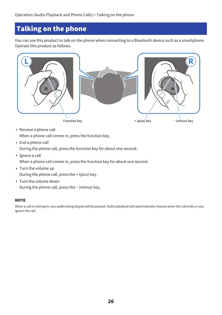## <span id="page-25-0"></span>Talking on the phone

You can use this product to talk on the phone when connecting to a Bluetooth device such as a smartphone. Operate this product as follows.



- Receive a phone call When a phone call comes in, press the function key.
- End a phone call During the phone call, press the function key for about one second.
- Ignore a call
- When a phone call comes in, press the function key for about one second.
- Turn the volume up During the phone call, press the + (plus) key.
- Turn the volume down During the phone call, press the − (minus) key.

#### **NOTE**

When a call is coming in, any audio being played will be paused. Audio playback will automatically resume when the call ends or you ignore the call.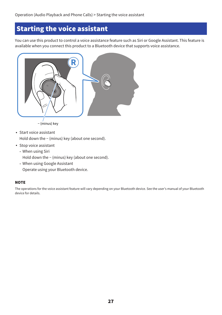## <span id="page-26-0"></span>Starting the voice assistant

You can use this product to control a voice assistance feature such as Siri or Google Assistant. This feature is available when you connect this product to a Bluetooth device that supports voice assistance.



• Start voice assistant Hold down the − (minus) key (about one second).

- Stop voice assistant
	- $\cdot$  When using Siri

Hold down the − (minus) key (about one second).

• When using Google Assistant Operate using your Bluetooth device.

#### **NOTE**

The operations for the voice assistant feature will vary depending on your Bluetooth device. See the user's manual of your Bluetooth device for details.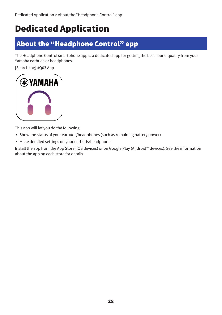## <span id="page-27-0"></span>Dedicated Application

## <span id="page-27-1"></span>About the "Headphone Control" app

The Headphone Control smartphone app is a dedicated app for getting the best sound quality from your Yamaha earbuds or headphones.

[Search tag] #Q03 App



This app will let you do the following.

- Show the status of your earbuds/headphones (such as remaining battery power)
- Make detailed settings on your earbuds/headphones

Install the app from the App Store (iOS devices) or on Google Play (Android™ devices). See the information about the app on each store for details.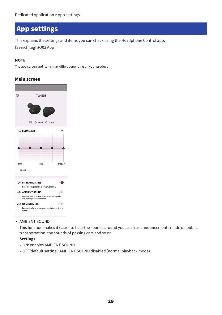## <span id="page-28-0"></span>App settings

This explains the settings and items you can check using the Headphone Control app.

[Search tag] #Q03 App

#### **NOTE**

The app screen and items may differ, depending on your product.

#### Main screen

| ස           |                                                         | TW-E5B                                                                       |             |
|-------------|---------------------------------------------------------|------------------------------------------------------------------------------|-------------|
|             | ■四                                                      | Ġ.<br><b>C</b> 100% C 100%                                                   | $\circledR$ |
|             | <b>NI EQUALIZER</b>                                     |                                                                              |             |
|             |                                                         |                                                                              |             |
| <b>BASS</b> | <b>RESET</b>                                            | MID                                                                          | TREBLE      |
|             | <b>LISTENING CARE</b>                                   |                                                                              |             |
|             | +2- AMBIENT SOUND                                       | Hear full-range sound at lower volumes.                                      |             |
|             |                                                         | Makes it easier to hear environmental sounds<br>while headphones are in use. |             |
|             | <b>EN GAMING MODE</b>                                   |                                                                              |             |
|             | Reduces delay and improves audio transmission<br>speed. |                                                                              |             |

• AMBIENT SOUND

This function makes it easier to hear the sounds around you, such as announcements made on public transportation, the sounds of passing cars and so on.

#### Settings

- ON: enables AMBIENT SOUND
- OFF(default setting): AMBIENT SOUND disabled (normal playback mode)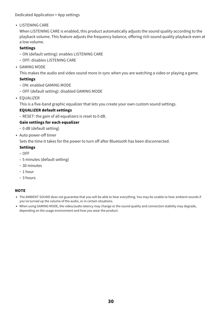#### Dedicated Application > App settings

• LISTENING CARE

When LISTENING CARE is enabled, this product automatically adjusts the sound quality according to the playback volume. This feature adjusts the frequency balance, offering rich sound quality playback even at a low volume.

#### Settings

- ( ON (default setting): enables LISTENING CARE
- ( OFF: disables LISTENING CARE
- ( GAMING MODE

This makes the audio and video sound more in sync when you are watching a video or playing a game.

#### Settings

- ( ON: enabled GAMING MODE
- $\cdot$  OFF (default setting): disabled GAMING MODE
- EQUALIZER

This is a five-band graphic equalizer that lets you create your own custom sound settings.

#### EQUALIZER default settings

 $\cdot$  RESET: the gain of all equalizers is reset to 0 dB.

#### Gain settings for each equalizer

- ( 0 dB (default setting)
- Auto power-off timer

Sets the time it takes for the power to turn off after Bluetooth has been disconnected.

#### Settings

- $\cdot$  OFF
- ( 5 minutes (default setting)
- $\cdot$  30 minutes
- $\cdot$  1 hour
- $\cdot$  3 hours

#### **NOTE**

- The AMBIENT SOUND does not guarantee that you will be able to hear everything. You may be unable to hear ambient sounds if you've turned up the volume of the audio, or in certain situations.
- When using GAMING MODE, the video/audio latency may change or the sound quality and connection stability may degrade, depending on the usage environment and how you wear the product.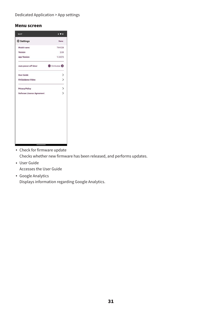Dedicated Application > App settings

#### Menu screen

| 10:07                             | $*$ $*$ 0          |
|-----------------------------------|--------------------|
| Settings                          | Done               |
| Model name                        | TW-E5B             |
| Version                           | 2.03               |
| <b>App Version</b>                | 1.0.0(1)           |
| Auto power-off timer              | S minutes <b>O</b> |
| <b>User Guide</b>                 | $\rightarrow$      |
| <b>Fit Guidance Video</b>         | $\rightarrow$      |
| <b>Privacy Policy</b>             |                    |
| <b>Software License Agreement</b> | >>                 |
|                                   |                    |
|                                   |                    |
|                                   |                    |
|                                   |                    |
|                                   |                    |
|                                   |                    |

• Check for firmware update Checks whether new firmware has been released, and performs updates.

( User Guide

Accesses the User Guide

• Google Analytics Displays information regarding Google Analytics.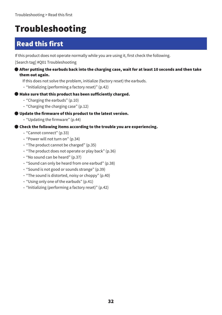## <span id="page-31-0"></span>Troubleshooting

## <span id="page-31-1"></span>Read this first

If this product does not operate normally while you are using it, first check the following.

[Search tag] #Q01 Troubleshooting

- $\bullet$  After putting the earbuds back into the charging case, wait for at least 10 seconds and then take them out again.
	- If this does not solve the problem, initialize (factory reset) the earbuds.
	- $\cdot$  ["Initializing \(performing a factory reset\)" \(p.42\)](#page-41-0)
- ( Make sure that this product has been sufficiently charged.
	- $\cdot$  ["Charging the earbuds" \(p.10\)](#page-9-1)
	- ( ["Charging the charging case" \(p.12\)](#page-11-0)
- ( Update the firmware of this product to the latest version.
	- ( ["Updating the firmware" \(p.44\)](#page-43-0)
- ( Check the following items according to the trouble you are experiencing.
	- ( ["Cannot connect" \(p.33\)](#page-32-0)
	- ( ["Power will not turn on" \(p.34\)](#page-33-0)
	- ( ["The product cannot be charged" \(p.35\)](#page-34-0)
	- ( ["The product does not operate or play back" \(p.36\)](#page-35-0)
	- ( ["No sound can be heard" \(p.37\)](#page-36-0)
	- ( ["Sound can only be heard from one earbud" \(p.38\)](#page-37-0)
	- ( ["Sound is not good or sounds strange" \(p.39\)](#page-38-0)
	- ( ["The sound is distorted, noisy or choppy" \(p.40\)](#page-39-0)
	- $\cdot$  ["Using only one of the earbuds" \(p.41\)](#page-40-0)
	- ( ["Initializing \(performing a factory reset\)" \(p.42\)](#page-41-0)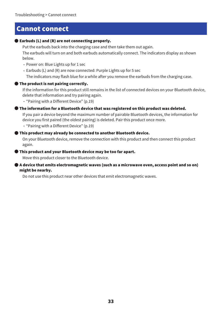### <span id="page-32-0"></span>Cannot connect

#### ( Earbuds (L) and (R) are not connecting properly.

Put the earbuds back into the charging case and then take them out again. The earbuds will turn on and both earbuds automatically connect. The indicators display as shown below.

- Power on: Blue Lights up for 1 sec
- ( Earbuds (L) and (R) are now connected: Purple Lights up for 5 sec

The indicators may flash blue for a while after you remove the earbuds from the charging case.

#### ( The product is not pairing correctly.

If the information for this product still remains in the list of connected devices on your Bluetooth device, delete that information and try pairing again.

( ["Pairing with a Different Device" \(p.19\)](#page-18-0)

#### ( The information for a Bluetooth device that was registered on this product was deleted.

If you pair a device beyond the maximum number of pairable Bluetooth devices, the information for device you first paired (the oldest pairing) is deleted. Pair this product once more.

( ["Pairing with a Different Device" \(p.19\)](#page-18-0)

#### ( This product may already be connected to another Bluetooth device.

On your Bluetooth device, remove the connection with this product and then connect this product again.

#### ( This product and your Bluetooth device may be too far apart.

Move this product closer to the Bluetooth device.

#### ( A device that emits electromagnetic waves (such as a microwave oven, access point and so on) might be nearby.

Do not use this product near other devices that emit electromagnetic waves.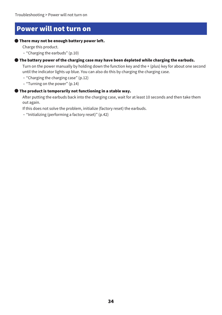### <span id="page-33-0"></span>Power will not turn on

#### ( There may not be enough battery power left.

Charge this product.

( ["Charging the earbuds" \(p.10\)](#page-9-1)

#### ( The battery power of the charging case may have been depleted while charging the earbuds.

Turn on the power manually by holding down the function key and the + (plus) key for about one second until the indicator lights up blue. You can also do this by charging the charging case.

- $\cdot$  ["Charging the charging case" \(p.12\)](#page-11-0)
- $\cdot$  ["Turning on the power" \(p.14\)](#page-13-0)

#### ( The product is temporarily not functioning in a stable way.

After putting the earbuds back into the charging case, wait for at least 10 seconds and then take them out again.

If this does not solve the problem, initialize (factory reset) the earbuds.

( ["Initializing \(performing a factory reset\)" \(p.42\)](#page-41-0)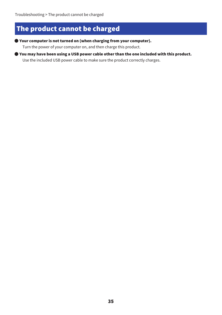## <span id="page-34-0"></span>The product cannot be charged

( Your computer is not turned on (when charging from your computer).

Turn the power of your computer on, and then charge this product.

( You may have been using a USB power cable other than the one included with this product.

Use the included USB power cable to make sure the product correctly charges.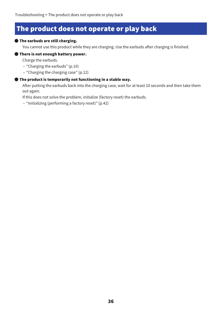### <span id="page-35-0"></span>The product does not operate or play back

#### ( The earbuds are still charging.

You cannot use this product while they are charging. Use the earbuds after charging is finished.

#### ( There is not enough battery power.

Charge the earbuds.

- ( ["Charging the earbuds" \(p.10\)](#page-9-1)
- ( ["Charging the charging case" \(p.12\)](#page-11-0)

#### ( The product is temporarily not functioning in a stable way.

After putting the earbuds back into the charging case, wait for at least 10 seconds and then take them out again.

If this does not solve the problem, initialize (factory reset) the earbuds.

( ["Initializing \(performing a factory reset\)" \(p.42\)](#page-41-0)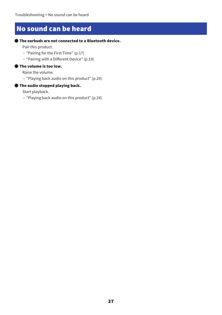## <span id="page-36-0"></span>No sound can be heard

#### ( The earbuds are not connected to a Bluetooth device.

Pair this product.

- ( ["Pairing for the First Time" \(p.17\)](#page-16-1)
- ( ["Pairing with a Different Device" \(p.19\)](#page-18-0)

#### ( The volume is too low.

Raise the volume.

( ["Playing back audio on this product" \(p.24\)](#page-23-1)

#### ( The audio stopped playing back.

Start playback.

( ["Playing back audio on this product" \(p.24\)](#page-23-1)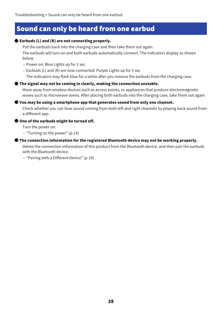### <span id="page-37-0"></span>Sound can only be heard from one earbud

#### ( Earbuds (L) and (R) are not connecting properly.

Put the earbuds back into the charging case and then take them out again. The earbuds will turn on and both earbuds automatically connect. The indicators display as shown below.

- Power on: Blue Lights up for 1 sec
- ( Earbuds (L) and (R) are now connected: Purple Lights up for 5 sec

The indicators may flash blue for a while after you remove the earbuds from the charging case.

#### ( The signal may not be coming in clearly, making the connection unstable.

Move away from wireless devices such as access points, or appliances that produce electromagnetic waves such as microwave ovens. After placing both earbuds into the charging case, take them out again.

#### ( You may be using a smartphone app that generates sound from only one channel.

Check whether you can hear sound coming from both left and right channels by playing back sound from a different app.

#### **One of the earbuds might be turned off.**

Turn the power on.

( ["Turning on the power" \(p.14\)](#page-13-0)

#### $\bullet$  The connection information for the registered Bluetooth device may not be working properly.

Delete the connection information of this product from the Bluetooth device, and then pair the earbuds with the Bluetooth device.

( ["Pairing with a Different Device" \(p.19\)](#page-18-0)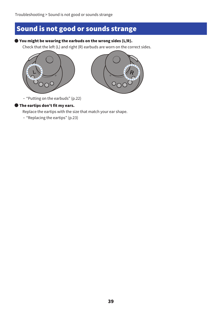## <span id="page-38-0"></span>Sound is not good or sounds strange

#### ( You might be wearing the earbuds on the wrong sides (L/R).

Check that the left (L) and right (R) earbuds are worn on the correct sides.





( ["Putting on the earbuds" \(p.22\)](#page-21-1)

#### ( The eartips don't fit my ears.

Replace the eartips with the size that match your ear shape.

( ["Replacing the eartips" \(p.23\)](#page-22-0)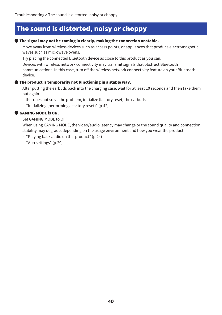## <span id="page-39-0"></span>The sound is distorted, noisy or choppy

#### ( The signal may not be coming in clearly, making the connection unstable.

Move away from wireless devices such as access points, or appliances that produce electromagnetic waves such as microwave ovens.

Try placing the connected Bluetooth device as close to this product as you can.

Devices with wireless network connectivity may transmit signals that obstruct Bluetooth communications. In this case, turn off the wireless network connectivity feature on your Bluetooth device.

#### ( The product is temporarily not functioning in a stable way.

After putting the earbuds back into the charging case, wait for at least 10 seconds and then take them out again.

If this does not solve the problem, initialize (factory reset) the earbuds.

( ["Initializing \(performing a factory reset\)" \(p.42\)](#page-41-0)

#### ( GAMING MODE is ON.

Set GAMING MODE to OFF.

When using GAMING MODE, the video/audio latency may change or the sound quality and connection stability may degrade, depending on the usage environment and how you wear the product.

- ( ["Playing back audio on this product" \(p.24\)](#page-23-1)
- ( ["App settings" \(p.29\)](#page-28-0)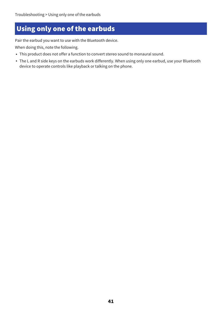## <span id="page-40-0"></span>Using only one of the earbuds

Pair the earbud you want to use with the Bluetooth device.

When doing this, note the following.

- This product does not offer a function to convert stereo sound to monaural sound.
- The L and R side keys on the earbuds work differently. When using only one earbud, use your Bluetooth device to operate controls like playback or talking on the phone.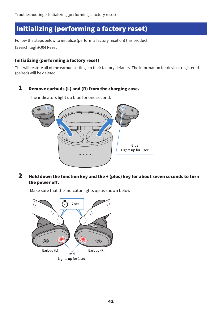## <span id="page-41-0"></span>Initializing (performing a factory reset)

Follow the steps below to initialize (perform a factory reset on) this product. [Search tag] #Q04 Reset

#### Initializing (performing a factory reset)

This will restore all of the earbud settings to their factory defaults. The information for devices registered (paired) will be deleted.

#### **1** Remove earbuds (L) and (R) from the charging case.

The indicators light up blue for one second.



2 Hold down the function key and the + (plus) key for about seven seconds to turn the power off.



Make sure that the indicator lights up as shown below.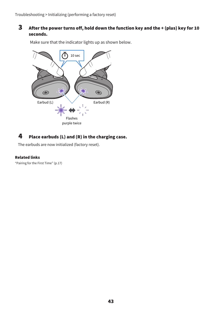#### 3 After the power turns off, hold down the function key and the + (plus) key for 10 seconds.

Make sure that the indicator lights up as shown below.



#### 4 Place earbuds (L) and (R) in the charging case.

The earbuds are now initialized (factory reset).

#### Related links

["Pairing for the First Time" \(p.17\)](#page-16-1)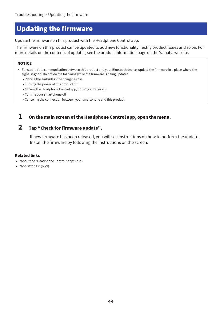## <span id="page-43-0"></span>Updating the firmware

Update the firmware on this product with the Headphone Control app.

The firmware on this product can be updated to add new functionality, rectify product issues and so on. For more details on the contents of updates, see the product information page on the Yamaha website.

#### **NOTICE**

- For stable data communication between this product and your Bluetooth device, update the firmware in a place where the signal is good. Do not do the following while the firmware is being updated.
	- Placing the earbuds in the charging case
	- Turning the power of this product off
	- Closing the Headphone Control app, or using another app
	- Turning your smartphone off
	- ( Canceling the connection between your smartphone and this product

#### $\boldsymbol{1}$  On the main screen of the Headphone Control app, open the menu.

#### 2 Tap "Check for firmware update".

If new firmware has been released, you will see instructions on how to perform the update. Install the firmware by following the instructions on the screen.

#### Related links

- ["About the "Headphone Control" app" \(p.28\)](#page-27-1)
- ( ["App settings" \(p.29\)](#page-28-0)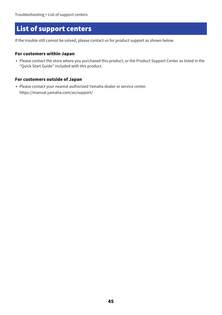## <span id="page-44-0"></span>List of support centers

If the trouble still cannot be solved, please contact us for product support as shown below.

#### For customers within Japan

• Please contact the store where you purchased this product, or the Product Support Center as listed in the "Quick Start Guide" included with this product.

#### For customers outside of Japan

• Please contact your nearest authorized Yamaha dealer or service center. https://manual.yamaha.com/av/support/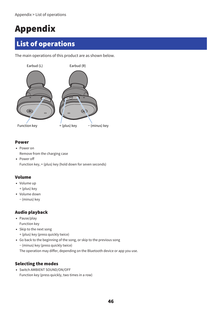## <span id="page-45-0"></span>Appendix

## <span id="page-45-1"></span>List of operations

The main operations of this product are as shown below.



#### Power

- Power on Remove from the charging case
- Power off Function key, + (plus) key (hold down for seven seconds)

#### Volume

- Volume up
- + (plus) key
- Volume down
	- − (minus) key

#### Audio playback

- Pause/play Function key
- Skip to the next song + (plus) key (press quickly twice)
- Go back to the beginning of the song, or skip to the previous song
	- − (minus) key (press quickly twice)

The operation may differ, depending on the Bluetooth device or app you use.

#### Selecting the modes

• Switch AMBIENT SOUND/ON/OFF Function key (press quickly, two times in a row)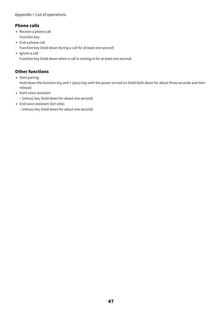#### Appendix > List of operations

#### Phone calls

- Receive a phone call Function key
- End a phone call Function key (hold down during a call for at least one second)
- Ignore a call

Function key (hold down when a call is coming in for at least one second)

#### Other functions

• Start pairing

Hold down the function key and + (plus) key with the power turned on (hold both down for about three seconds and then release)

- Start voice assistant
	- − (minus) key (hold down for about one second)
- End voice assistant (Siri only)
	- − (minus) key (hold down for about one second)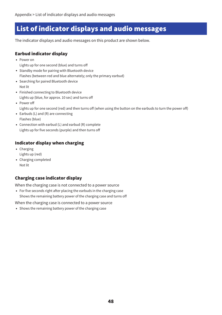## <span id="page-47-0"></span>List of indicator displays and audio messages

The indicator displays and audio messages on this product are shown below.

#### Earbud indicator display

- Power on
	- Lights up for one second (blue) and turns off
- Standby mode for pairing with Bluetooth device Flashes (between red and blue alternately; only the primary earbud)
- Searching for paired Bluetooth device Not lit
- Finished connecting to Bluetooth device Lights up (blue, for approx. 10 sec) and turns off
- Power off
	- Lights up for one second (red) and then turns off (when using the button on the earbuds to turn the power off)
- $\bullet$  Earbuds (L) and (R) are connecting Flashes (blue)
- Connection with earbud (L) and earbud (R) complete Lights up for five seconds (purple) and then turns off

#### Indicator display when charging

- Charging Lights up (red)
- ( Charging completed Not lit

#### Charging case indicator display

When the charging case is not connected to a power source

• For five seconds right after placing the earbuds in the charging case Shows the remaining battery power of the charging case and turns off

When the charging case is connected to a power source

• Shows the remaining battery power of the charging case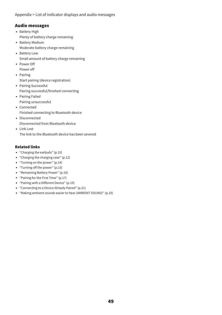Appendix > List of indicator displays and audio messages

#### Audio messages

- Battery High Plenty of battery charge remaining
- Battery Medium Moderate battery charge remaining
- Battery Low Small amount of battery charge remaining
- Power Off Power off
- Pairing
	- Start pairing (device registration)
- Pairing Successful Pairing successful/finished connecting
- Pairing Failed Pairing unsuccessful
- Connected Finished connecting to Bluetooth device
- Disconnected Disconnected from Bluetooth device
- Link Lost

The link to the Bluetooth device has been severed

#### Related links

- ( ["Charging the earbuds" \(p.10\)](#page-9-1)
- ( ["Charging the charging case" \(p.12\)](#page-11-0)
- ( ["Turning on the power" \(p.14\)](#page-13-0)
- ( ["Turning off the power" \(p.15\)](#page-14-0)
- ( ["Remaining Battery Power" \(p.16\)](#page-15-0)
- ( ["Pairing for the First Time" \(p.17\)](#page-16-1)
- ["Pairing with a Different Device" \(p.19\)](#page-18-0)
- ( ["Connecting to a Device Already Paired" \(p.21\)](#page-20-0)
- ( ["Making ambient sounds easier to hear \(AMBIENT SOUND\)" \(p.25\)](#page-24-0)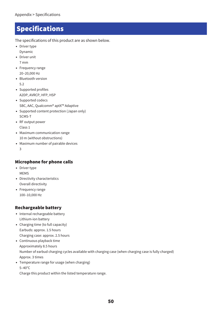## <span id="page-49-0"></span>**Specifications**

The specifications of this product are as shown below.

- Driver type Dynamic
- Driver unit
- 7 mm
- Frequency range 20–20,000 Hz
- Bluetooth version 5.2
- Supported profiles A2DP, AVRCP, HFP, HSP
- Supported codecs SBC, AAC, Qualcomm® aptX™ Adaptive
- ( Supported content protection (Japan only) SCMS-T
- RF output power Class 1
- Maximum communication range 10 m (without obstructions)
- Maximum number of pairable devices 3

#### Microphone for phone calls

- Driver type MEMS
- Directivity characteristics Overall directivity
- Frequency range 100–10,000 Hz

#### Rechargeable battery

- Internal rechargeable battery Lithium-ion battery
- Charging time (to full capacity) Earbuds: approx. 1.5 hours Charging case: approx. 2.5 hours
- Continuous playback time Approximately 8.5 hours Number of earbud charging cycles available with charging case (when charging case is fully charged) Approx. 3 times
- Temperature range for usage (when charging) 5–40°C

Charge this product within the listed temperature range.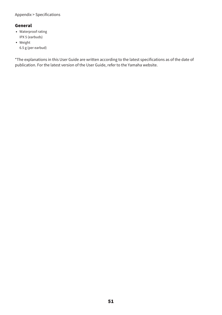#### Appendix > Specifications

#### General

- Waterproof rating IPX 5 (earbuds)
- Weight 6.5 g (per earbud)

\*The explanations in this User Guide are written according to the latest specifications as of the date of publication. For the latest version of the User Guide, refer to the Yamaha website.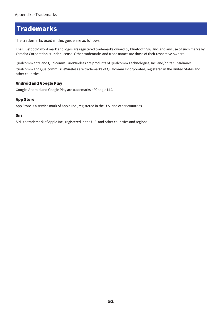### <span id="page-51-0"></span>**Trademarks**

The trademarks used in this guide are as follows.

The Bluetooth® word mark and logos are registered trademarks owned by Bluetooth SIG, Inc. and any use of such marks by Yamaha Corporation is under license. Other trademarks and trade names are those of their respective owners.

Qualcomm aptX and Qualcomm TrueWireless are products of Qualcomm Technologies, Inc. and/or its subsidiaries.

Qualcomm and Qualcomm TrueWireless are trademarks of Qualcomm Incorporated, registered in the United States and other countries.

#### Android and Google Play

Google, Android and Google Play are trademarks of Google LLC.

#### App Store

App Store is a service mark of Apple Inc., registered in the U.S. and other countries.

#### Siri

Siri is a trademark of Apple Inc., registered in the U.S. and other countries and regions.